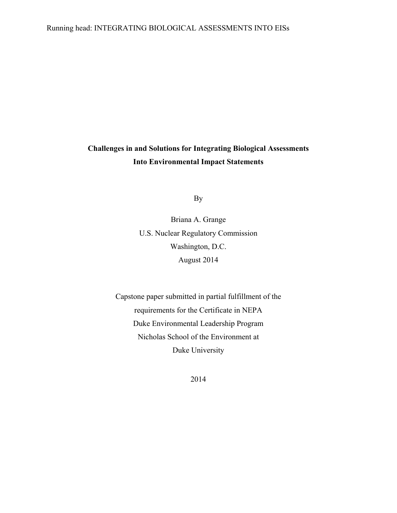## Running head: INTEGRATING BIOLOGICAL ASSESSMENTS INTO EISs

# **Challenges in and Solutions for Integrating Biological Assessments Into Environmental Impact Statements**

By

Briana A. Grange U.S. Nuclear Regulatory Commission Washington, D.C. August 2014

Capstone paper submitted in partial fulfillment of the requirements for the Certificate in NEPA Duke Environmental Leadership Program Nicholas School of the Environment at Duke University

2014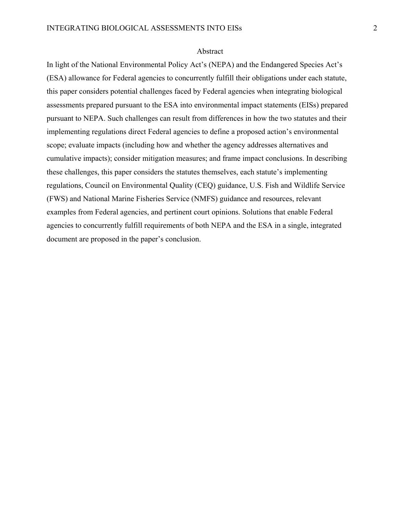#### Abstract

In light of the National Environmental Policy Act's (NEPA) and the Endangered Species Act's (ESA) allowance for Federal agencies to concurrently fulfill their obligations under each statute, this paper considers potential challenges faced by Federal agencies when integrating biological assessments prepared pursuant to the ESA into environmental impact statements (EISs) prepared pursuant to NEPA. Such challenges can result from differences in how the two statutes and their implementing regulations direct Federal agencies to define a proposed action's environmental scope; evaluate impacts (including how and whether the agency addresses alternatives and cumulative impacts); consider mitigation measures; and frame impact conclusions. In describing these challenges, this paper considers the statutes themselves, each statute's implementing regulations, Council on Environmental Quality (CEQ) guidance, U.S. Fish and Wildlife Service (FWS) and National Marine Fisheries Service (NMFS) guidance and resources, relevant examples from Federal agencies, and pertinent court opinions. Solutions that enable Federal agencies to concurrently fulfill requirements of both NEPA and the ESA in a single, integrated document are proposed in the paper's conclusion.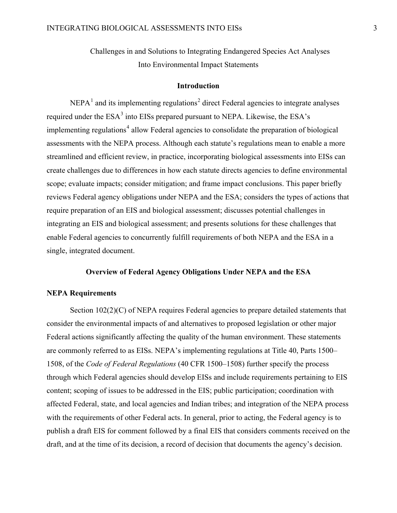Challenges in and Solutions to Integrating Endangered Species Act Analyses Into Environmental Impact Statements

## <span id="page-2-2"></span><span id="page-2-0"></span>**Introduction**

<span id="page-2-3"></span><span id="page-2-1"></span> $NEPA<sup>1</sup>$  $NEPA<sup>1</sup>$  $NEPA<sup>1</sup>$  and its implementing regulations<sup>[2](#page-23-1)</sup> direct Federal agencies to integrate analyses required under the ESA<sup>[3](#page-23-2)</sup> into EISs prepared pursuant to NEPA. Likewise, the ESA's implementing regulations<sup>[4](#page-23-3)</sup> allow Federal agencies to consolidate the preparation of biological assessments with the NEPA process. Although each statute's regulations mean to enable a more streamlined and efficient review, in practice, incorporating biological assessments into EISs can create challenges due to differences in how each statute directs agencies to define environmental scope; evaluate impacts; consider mitigation; and frame impact conclusions. This paper briefly reviews Federal agency obligations under NEPA and the ESA; considers the types of actions that require preparation of an EIS and biological assessment; discusses potential challenges in integrating an EIS and biological assessment; and presents solutions for these challenges that enable Federal agencies to concurrently fulfill requirements of both NEPA and the ESA in a single, integrated document.

# **Overview of Federal Agency Obligations Under NEPA and the ESA**

## **NEPA Requirements**

Section 102(2)(C) of NEPA requires Federal agencies to prepare detailed statements that consider the environmental impacts of and alternatives to proposed legislation or other major Federal actions significantly affecting the quality of the human environment. These statements are commonly referred to as EISs. NEPA's implementing regulations at Title 40, Parts 1500– 1508, of the *Code of Federal Regulations* (40 CFR 1500–1508) further specify the process through which Federal agencies should develop EISs and include requirements pertaining to EIS content; scoping of issues to be addressed in the EIS; public participation; coordination with affected Federal, state, and local agencies and Indian tribes; and integration of the NEPA process with the requirements of other Federal acts. In general, prior to acting, the Federal agency is to publish a draft EIS for comment followed by a final EIS that considers comments received on the draft, and at the time of its decision, a record of decision that documents the agency's decision.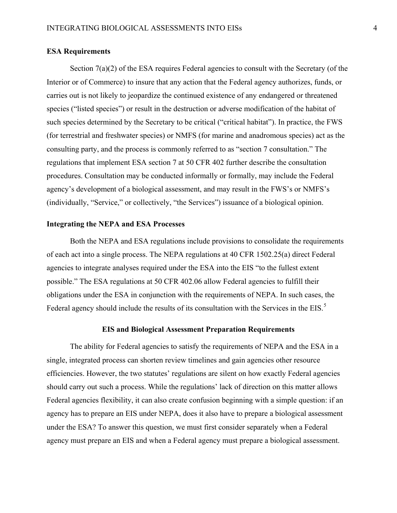## **ESA Requirements**

Section 7(a)(2) of the ESA requires Federal agencies to consult with the Secretary (of the Interior or of Commerce) to insure that any action that the Federal agency authorizes, funds, or carries out is not likely to jeopardize the continued existence of any endangered or threatened species ("listed species") or result in the destruction or adverse modification of the habitat of such species determined by the Secretary to be critical ("critical habitat"). In practice, the FWS (for terrestrial and freshwater species) or NMFS (for marine and anadromous species) act as the consulting party, and the process is commonly referred to as "section 7 consultation." The regulations that implement ESA section 7 at 50 CFR 402 further describe the consultation procedures. Consultation may be conducted informally or formally, may include the Federal agency's development of a biological assessment, and may result in the FWS's or NMFS's (individually, "Service," or collectively, "the Services") issuance of a biological opinion.

#### **Integrating the NEPA and ESA Processes**

Both the NEPA and ESA regulations include provisions to consolidate the requirements of each act into a single process. The NEPA regulations at 40 CFR 1502.25(a) direct Federal agencies to integrate analyses required under the ESA into the EIS "to the fullest extent possible." The ESA regulations at 50 CFR 402.06 allow Federal agencies to fulfill their obligations under the ESA in conjunction with the requirements of NEPA. In such cases, the Federal agency should include the results of its consultation with the Services in the EIS.<sup>[5](#page-23-4)</sup>

#### **EIS and Biological Assessment Preparation Requirements**

The ability for Federal agencies to satisfy the requirements of NEPA and the ESA in a single, integrated process can shorten review timelines and gain agencies other resource efficiencies. However, the two statutes' regulations are silent on how exactly Federal agencies should carry out such a process. While the regulations' lack of direction on this matter allows Federal agencies flexibility, it can also create confusion beginning with a simple question: if an agency has to prepare an EIS under NEPA, does it also have to prepare a biological assessment under the ESA? To answer this question, we must first consider separately when a Federal agency must prepare an EIS and when a Federal agency must prepare a biological assessment.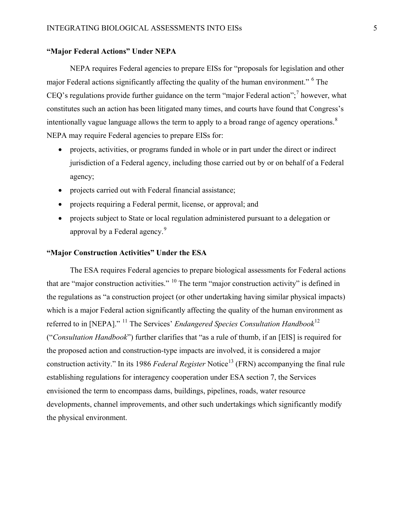# **"Major Federal Actions" Under NEPA**

NEPA requires Federal agencies to prepare EISs for "proposals for legislation and other major Federal actions significantly affecting the quality of the human environment." <sup>[6](#page-24-0)</sup> The CEQ's regulations provide further guidance on the term "major Federal action";<sup>[7](#page-24-1)</sup> however, what constitutes such an action has been litigated many times, and courts have found that Congress's intentionally vague language allows the term to apply to a broad range of agency operations.<sup>[8](#page-24-2)</sup> NEPA may require Federal agencies to prepare EISs for:

- projects, activities, or programs funded in whole or in part under the direct or indirect jurisdiction of a Federal agency, including those carried out by or on behalf of a Federal agency;
- projects carried out with Federal financial assistance;
- projects requiring a Federal permit, license, or approval; and
- projects subject to State or local regulation administered pursuant to a delegation or approval by a Federal agency.<sup>[9](#page-24-3)</sup>

# **"Major Construction Activities" Under the ESA**

<span id="page-4-1"></span><span id="page-4-0"></span>The ESA requires Federal agencies to prepare biological assessments for Federal actions that are "major construction activities." <sup>[10](#page-24-4)</sup> The term "major construction activity" is defined in the regulations as "a construction project (or other undertaking having similar physical impacts) which is a major Federal action significantly affecting the quality of the human environment as referred to in [NEPA]." [11](#page-24-5) The Services' *Endangered Species Consultation Handbook*[12](#page-24-6) ("*Consultation Handbook*") further clarifies that "as a rule of thumb, if an [EIS] is required for the proposed action and construction-type impacts are involved, it is considered a major construction activity." In its 1986 *Federal Register* Notice<sup>[13](#page-24-7)</sup> (FRN) accompanying the final rule establishing regulations for interagency cooperation under ESA section 7, the Services envisioned the term to encompass dams, buildings, pipelines, roads, water resource developments, channel improvements, and other such undertakings which significantly modify the physical environment.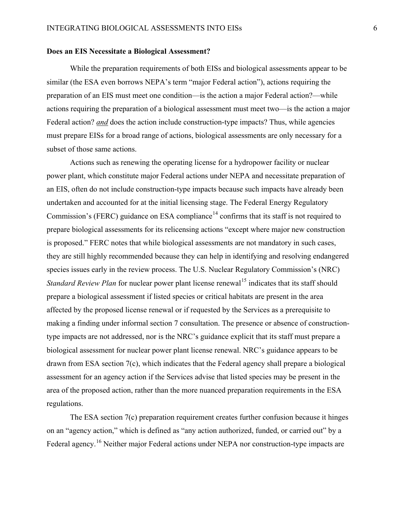#### **Does an EIS Necessitate a Biological Assessment?**

While the preparation requirements of both EISs and biological assessments appear to be similar (the ESA even borrows NEPA's term "major Federal action"), actions requiring the preparation of an EIS must meet one condition—is the action a major Federal action?—while actions requiring the preparation of a biological assessment must meet two—is the action a major Federal action? *and* does the action include construction-type impacts? Thus, while agencies must prepare EISs for a broad range of actions, biological assessments are only necessary for a subset of those same actions.

Actions such as renewing the operating license for a hydropower facility or nuclear power plant, which constitute major Federal actions under NEPA and necessitate preparation of an EIS, often do not include construction-type impacts because such impacts have already been undertaken and accounted for at the initial licensing stage. The Federal Energy Regulatory Commission's (FERC) guidance on ESA compliance<sup> $14$ </sup> confirms that its staff is not required to prepare biological assessments for its relicensing actions "except where major new construction is proposed." FERC notes that while biological assessments are not mandatory in such cases, they are still highly recommended because they can help in identifying and resolving endangered species issues early in the review process. The U.S. Nuclear Regulatory Commission's (NRC) *Standard Review Plan* for nuclear power plant license renewal<sup>[15](#page-25-1)</sup> indicates that its staff should prepare a biological assessment if listed species or critical habitats are present in the area affected by the proposed license renewal or if requested by the Services as a prerequisite to making a finding under informal section 7 consultation. The presence or absence of constructiontype impacts are not addressed, nor is the NRC's guidance explicit that its staff must prepare a biological assessment for nuclear power plant license renewal. NRC's guidance appears to be drawn from ESA section 7(c), which indicates that the Federal agency shall prepare a biological assessment for an agency action if the Services advise that listed species may be present in the area of the proposed action, rather than the more nuanced preparation requirements in the ESA regulations.

The ESA section 7(c) preparation requirement creates further confusion because it hinges on an "agency action," which is defined as "any action authorized, funded, or carried out" by a Federal agency.<sup>[16](#page-25-2)</sup> Neither major Federal actions under NEPA nor construction-type impacts are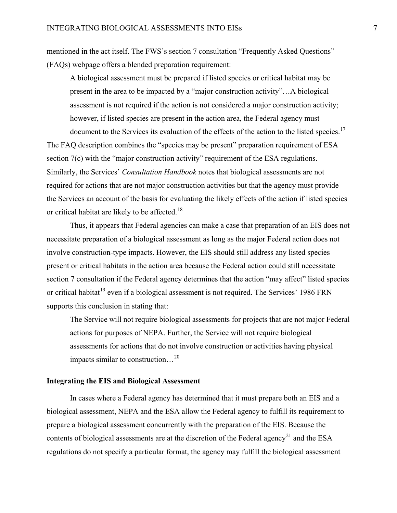mentioned in the act itself. The FWS's section 7 consultation "Frequently Asked Questions" (FAQs) webpage offers a blended preparation requirement:

A biological assessment must be prepared if listed species or critical habitat may be present in the area to be impacted by a "major construction activity"…A biological assessment is not required if the action is not considered a major construction activity; however, if listed species are present in the action area, the Federal agency must document to the Services its evaluation of the effects of the action to the listed species.<sup>[17](#page-26-0)</sup>

The FAQ description combines the "species may be present" preparation requirement of ESA section 7(c) with the "major construction activity" requirement of the ESA regulations. Similarly, the Services' *Consultation Handbook* notes that biological assessments are not required for actions that are not major construction activities but that the agency must provide the Services an account of the basis for evaluating the likely effects of the action if listed species or critical habitat are likely to be affected.[18](#page-26-1)

Thus, it appears that Federal agencies can make a case that preparation of an EIS does not necessitate preparation of a biological assessment as long as the major Federal action does not involve construction-type impacts. However, the EIS should still address any listed species present or critical habitats in the action area because the Federal action could still necessitate section 7 consultation if the Federal agency determines that the action "may affect" listed species or critical habitat<sup>[19](#page-26-2)</sup> even if a biological assessment is not required. The Services' 1986 FRN supports this conclusion in stating that:

The Service will not require biological assessments for projects that are not major Federal actions for purposes of NEPA. Further, the Service will not require biological assessments for actions that do not involve construction or activities having physical impacts similar to construction…[20](#page-26-3)

## **Integrating the EIS and Biological Assessment**

In cases where a Federal agency has determined that it must prepare both an EIS and a biological assessment, NEPA and the ESA allow the Federal agency to fulfill its requirement to prepare a biological assessment concurrently with the preparation of the EIS. Because the contents of biological assessments are at the discretion of the Federal agency<sup>[21](#page-26-4)</sup> and the ESA regulations do not specify a particular format, the agency may fulfill the biological assessment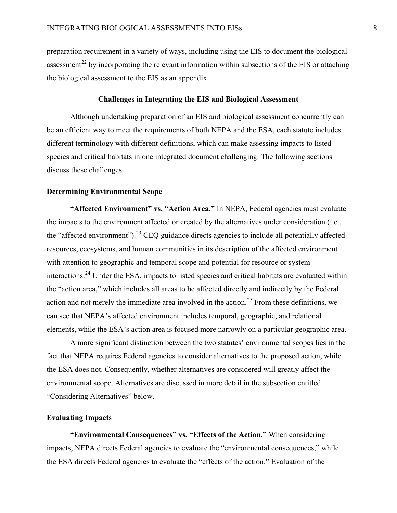preparation requirement in a variety of ways, including using the EIS to document the biological assessment<sup>[22](#page-26-5)</sup> by incorporating the relevant information within subsections of the EIS or attaching the biological assessment to the EIS as an appendix.

#### **Challenges in Integrating the EIS and Biological Assessment**

Although undertaking preparation of an EIS and biological assessment concurrently can be an efficient way to meet the requirements of both NEPA and the ESA, each statute includes different terminology with different definitions, which can make assessing impacts to listed species and critical habitats in one integrated document challenging. The following sections discuss these challenges.

#### **Determining Environmental Scope**

<span id="page-7-0"></span>**"Affected Environment" vs. "Action Area."** In NEPA, Federal agencies must evaluate the impacts to the environment affected or created by the alternatives under consideration (i.e., the "affected environment").<sup>[23](#page-26-6)</sup> CEQ guidance directs agencies to include all potentially affected resources, ecosystems, and human communities in its description of the affected environment with attention to geographic and temporal scope and potential for resource or system interactions.<sup>[24](#page-26-7)</sup> Under the ESA, impacts to listed species and critical habitats are evaluated within the "action area," which includes all areas to be affected directly and indirectly by the Federal action and not merely the immediate area involved in the action.<sup>[25](#page-26-8)</sup> From these definitions, we can see that NEPA's affected environment includes temporal, geographic, and relational elements, while the ESA's action area is focused more narrowly on a particular geographic area.

A more significant distinction between the two statutes' environmental scopes lies in the fact that NEPA requires Federal agencies to consider alternatives to the proposed action, while the ESA does not. Consequently, whether alternatives are considered will greatly affect the environmental scope. Alternatives are discussed in more detail in the subsection entitled "Considering Alternatives" below.

#### **Evaluating Impacts**

**"Environmental Consequences" vs. "Effects of the Action."** When considering impacts, NEPA directs Federal agencies to evaluate the "environmental consequences," while the ESA directs Federal agencies to evaluate the "effects of the action." Evaluation of the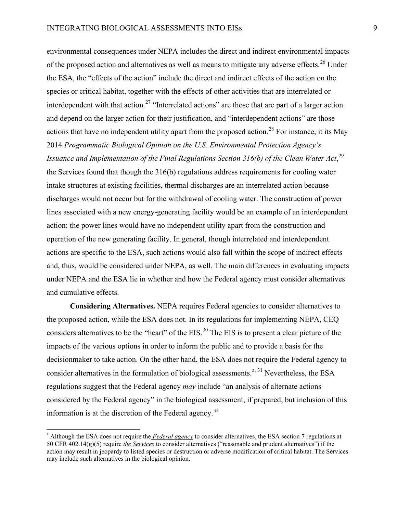environmental consequences under NEPA includes the direct and indirect environmental impacts of the proposed action and alternatives as well as means to mitigate any adverse effects.<sup>[26](#page-26-9)</sup> Under the ESA, the "effects of the action" include the direct and indirect effects of the action on the species or critical habitat, together with the effects of other activities that are interrelated or interdependent with that action.<sup>[27](#page-26-10)</sup> "Interrelated actions" are those that are part of a larger action and depend on the larger action for their justification, and "interdependent actions" are those actions that have no independent utility apart from the proposed action.<sup>[28](#page-26-11)</sup> For instance, it its May 2014 *Programmatic Biological Opinion on the U.S. Environmental Protection Agency's*  Issuance and Implementation of the Final Regulations Section 316(b) of the Clean Water Act,<sup>[29](#page-26-12)</sup> the Services found that though the 316(b) regulations address requirements for cooling water intake structures at existing facilities, thermal discharges are an interrelated action because discharges would not occur but for the withdrawal of cooling water. The construction of power lines associated with a new energy-generating facility would be an example of an interdependent action: the power lines would have no independent utility apart from the construction and operation of the new generating facility. In general, though interrelated and interdependent actions are specific to the ESA, such actions would also fall within the scope of indirect effects and, thus, would be considered under NEPA, as well. The main differences in evaluating impacts under NEPA and the ESA lie in whether and how the Federal agency must consider alternatives and cumulative effects.

**Considering Alternatives.** NEPA requires Federal agencies to consider alternatives to the proposed action, while the ESA does not. In its regulations for implementing NEPA, CEQ considers alternatives to be the "heart" of the EIS.<sup>[30](#page-26-13)</sup> The EIS is to present a clear picture of the impacts of the various options in order to inform the public and to provide a basis for the decisionmaker to take action. On the other hand, the ESA does not require the Federal agency to consider alternatives in the formulation of biological assessments. $^{a, 31}$  $^{a, 31}$  $^{a, 31}$  $^{a, 31}$  $^{a, 31}$  Nevertheless, the ESA regulations suggest that the Federal agency *may* include "an analysis of alternate actions considered by the Federal agency" in the biological assessment, if prepared, but inclusion of this information is at the discretion of the Federal agency.<sup>[32](#page-26-15)</sup>

<span id="page-8-0"></span><sup>a</sup> Although the ESA does not require the *Federal agency* to consider alternatives, the ESA section 7 regulations at 50 CFR 402.14(g)(5) require *the Services* to consider alternatives ("reasonable and prudent alternatives") if the action may result in jeopardy to listed species or destruction or adverse modification of critical habitat. The Services may include such alternatives in the biological opinion.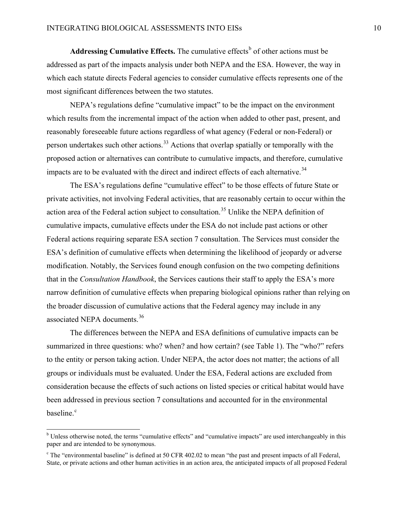Addressing Cumulative Effects. The cumulative effects<sup>[b](#page-9-0)</sup> of other actions must be addressed as part of the impacts analysis under both NEPA and the ESA. However, the way in which each statute directs Federal agencies to consider cumulative effects represents one of the most significant differences between the two statutes.

NEPA's regulations define "cumulative impact" to be the impact on the environment which results from the incremental impact of the action when added to other past, present, and reasonably foreseeable future actions regardless of what agency (Federal or non-Federal) or person undertakes such other actions.<sup>[33](#page-26-16)</sup> Actions that overlap spatially or temporally with the proposed action or alternatives can contribute to cumulative impacts, and therefore, cumulative impacts are to be evaluated with the direct and indirect effects of each alternative.<sup>[34](#page-26-17)</sup>

The ESA's regulations define "cumulative effect" to be those effects of future State or private activities, not involving Federal activities, that are reasonably certain to occur within the action area of the Federal action subject to consultation.<sup>[35](#page-26-18)</sup> Unlike the NEPA definition of cumulative impacts, cumulative effects under the ESA do not include past actions or other Federal actions requiring separate ESA section 7 consultation. The Services must consider the ESA's definition of cumulative effects when determining the likelihood of jeopardy or adverse modification. Notably, the Services found enough confusion on the two competing definitions that in the *Consultation Handbook*, the Services cautions their staff to apply the ESA's more narrow definition of cumulative effects when preparing biological opinions rather than relying on the broader discussion of cumulative actions that the Federal agency may include in any associated NEPA documents.<sup>[36](#page-26-19)</sup>

The differences between the NEPA and ESA definitions of cumulative impacts can be summarized in three questions: who? when? and how certain? (see [Table 1\)](#page-10-0). The "who?" refers to the entity or person taking action. Under NEPA, the actor does not matter; the actions of all groups or individuals must be evaluated. Under the ESA, Federal actions are excluded from consideration because the effects of such actions on listed species or critical habitat would have been addressed in previous section 7 consultations and accounted for in the environmental baseline.<sup>[c](#page-9-1)</sup>

<span id="page-9-0"></span><sup>&</sup>lt;sup>b</sup> Unless otherwise noted, the terms "cumulative effects" and "cumulative impacts" are used interchangeably in this paper and are intended to be synonymous.

<span id="page-9-1"></span> $c$  The "environmental baseline" is defined at 50 CFR 402.02 to mean "the past and present impacts of all Federal, State, or private actions and other human activities in an action area, the anticipated impacts of all proposed Federal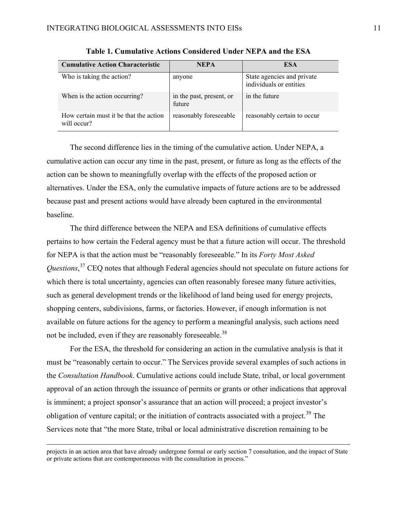<span id="page-10-0"></span>

| <b>Cumulative Action Characteristic</b>               | NEPA                               | <b>ESA</b>                                            |
|-------------------------------------------------------|------------------------------------|-------------------------------------------------------|
| Who is taking the action?                             | anyone                             | State agencies and private<br>individuals or entities |
| When is the action occurring?                         | in the past, present, or<br>future | in the future                                         |
| How certain must it be that the action<br>will occur? | reasonably foreseeable             | reasonably certain to occur                           |

**Table 1. Cumulative Actions Considered Under NEPA and the ESA**

The second difference lies in the timing of the cumulative action. Under NEPA, a cumulative action can occur any time in the past, present, or future as long as the effects of the action can be shown to meaningfully overlap with the effects of the proposed action or alternatives. Under the ESA, only the cumulative impacts of future actions are to be addressed because past and present actions would have already been captured in the environmental baseline.

The third difference between the NEPA and ESA definitions of cumulative effects pertains to how certain the Federal agency must be that a future action will occur. The threshold for NEPA is that the action must be "reasonably foreseeable." In its *Forty Most Asked Questions*, [37](#page-26-20) CEQ notes that although Federal agencies should not speculate on future actions for which there is total uncertainty, agencies can often reasonably foresee many future activities, such as general development trends or the likelihood of land being used for energy projects, shopping centers, subdivisions, farms, or factories. However, if enough information is not available on future actions for the agency to perform a meaningful analysis, such actions need not be included, even if they are reasonably foreseeable.<sup>[38](#page-26-21)</sup>

For the ESA, the threshold for considering an action in the cumulative analysis is that it must be "reasonably certain to occur." The Services provide several examples of such actions in the *Consultation Handbook*. Cumulative actions could include State, tribal, or local government approval of an action through the issuance of permits or grants or other indications that approval is imminent; a project sponsor's assurance that an action will proceed; a project investor's obligation of venture capital; or the initiation of contracts associated with a project.<sup>[39](#page-26-1)</sup> The Services note that "the more State, tribal or local administrative discretion remaining to be

-

projects in an action area that have already undergone formal or early section 7 consultation, and the impact of State or private actions that are contemporaneous with the consultation in process."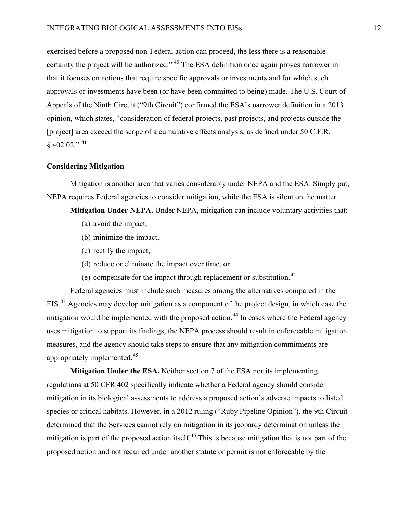exercised before a proposed non-Federal action can proceed, the less there is a reasonable certainty the project will be authorized." [40](#page-26-2) The ESA definition once again proves narrower in that it focuses on actions that require specific approvals or investments and for which such approvals or investments have been (or have been committed to being) made. The U.S. Court of Appeals of the Ninth Circuit ("9th Circuit") confirmed the ESA's narrower definition in a 2013 opinion, which states, "consideration of federal projects, past projects, and projects outside the [project] area exceed the scope of a cumulative effects analysis, as defined under 50 C.F.R.  $§$  402.02."<sup>[41](#page-26-3)</sup>

## **Considering Mitigation**

Mitigation is another area that varies considerably under NEPA and the ESA. Simply put, NEPA requires Federal agencies to consider mitigation, while the ESA is silent on the matter.

**Mitigation Under NEPA.** Under NEPA, mitigation can include voluntary activities that:

- (a) avoid the impact,
- (b) minimize the impact,
- (c) rectify the impact,
- (d) reduce or eliminate the impact over time, or
- <span id="page-11-0"></span>(e) compensate for the impact through replacement or substitution.<sup>[42](#page-26-4)</sup>

Federal agencies must include such measures among the alternatives compared in the EIS.[43](#page-26-5) Agencies may develop mitigation as a component of the project design, in which case the mitigation would be implemented with the proposed action.<sup>[44](#page-26-6)</sup> In cases where the Federal agency uses mitigation to support its findings, the NEPA process should result in enforceable mitigation measures, and the agency should take steps to ensure that any mitigation commitments are appropriately implemented.[45](#page-26-8)

<span id="page-11-1"></span>**Mitigation Under the ESA.** Neither section 7 of the ESA nor its implementing regulations at 50 CFR 402 specifically indicate whether a Federal agency should consider mitigation in its biological assessments to address a proposed action's adverse impacts to listed species or critical habitats. However, in a 2012 ruling ("Ruby Pipeline Opinion"), the 9th Circuit determined that the Services cannot rely on mitigation in its jeopardy determination unless the mitigation is part of the proposed action itself.<sup>[46](#page-26-9)</sup> This is because mitigation that is not part of the proposed action and not required under another statute or permit is not enforceable by the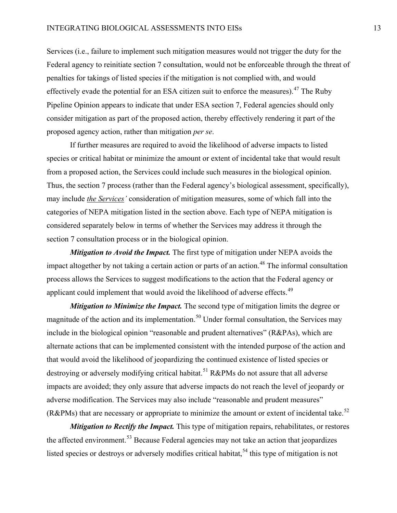Services (i.e., failure to implement such mitigation measures would not trigger the duty for the Federal agency to reinitiate section 7 consultation, would not be enforceable through the threat of penalties for takings of listed species if the mitigation is not complied with, and would effectively evade the potential for an ESA citizen suit to enforce the measures).<sup>[47](#page-26-11)</sup> The Ruby Pipeline Opinion appears to indicate that under ESA section 7, Federal agencies should only consider mitigation as part of the proposed action, thereby effectively rendering it part of the proposed agency action, rather than mitigation *per se*.

If further measures are required to avoid the likelihood of adverse impacts to listed species or critical habitat or minimize the amount or extent of incidental take that would result from a proposed action, the Services could include such measures in the biological opinion. Thus, the section 7 process (rather than the Federal agency's biological assessment, specifically), may include *the Services'* consideration of mitigation measures, some of which fall into the categories of NEPA mitigation listed in the section above. Each type of NEPA mitigation is considered separately below in terms of whether the Services may address it through the section 7 consultation process or in the biological opinion.

*Mitigation to Avoid the Impact.* The first type of mitigation under NEPA avoids the impact altogether by not taking a certain action or parts of an action.<sup>[48](#page-26-12)</sup> The informal consultation process allows the Services to suggest modifications to the action that the Federal agency or applicant could implement that would avoid the likelihood of adverse effects.<sup>[49](#page-26-22)</sup>

*Mitigation to Minimize the Impact*. The second type of mitigation limits the degree or magnitude of the action and its implementation.<sup>[50](#page-26-23)</sup> Under formal consultation, the Services may include in the biological opinion "reasonable and prudent alternatives" (R&PAs), which are alternate actions that can be implemented consistent with the intended purpose of the action and that would avoid the likelihood of jeopardizing the continued existence of listed species or destroying or adversely modifying critical habitat.<sup>[51](#page-26-24)</sup> R&PMs do not assure that all adverse impacts are avoided; they only assure that adverse impacts do not reach the level of jeopardy or adverse modification. The Services may also include "reasonable and prudent measures" (R&PMs) that are necessary or appropriate to minimize the amount or extent of incidental take.<sup>[52](#page-26-25)</sup>

*Mitigation to Rectify the Impact*. This type of mitigation repairs, rehabilitates, or restores the affected environment.<sup>[53](#page-26-26)</sup> Because Federal agencies may not take an action that jeopardizes listed species or destroys or adversely modifies critical habitat,<sup>[54](#page-26-13)</sup> this type of mitigation is not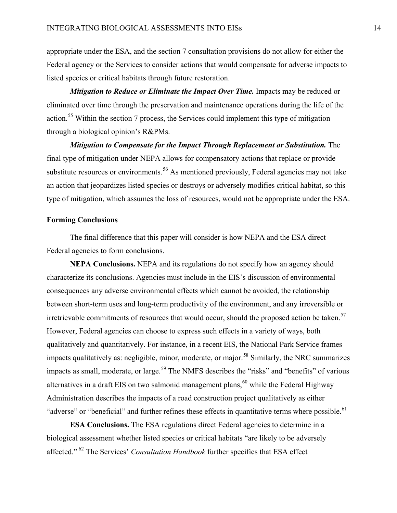appropriate under the ESA, and the section 7 consultation provisions do not allow for either the Federal agency or the Services to consider actions that would compensate for adverse impacts to listed species or critical habitats through future restoration.

*Mitigation to Reduce or Eliminate the Impact Over Time.* Impacts may be reduced or eliminated over time through the preservation and maintenance operations during the life of the action.[55](#page-26-14) Within the section 7 process, the Services could implement this type of mitigation through a biological opinion's R&PMs.

*Mitigation to Compensate for the Impact Through Replacement or Substitution.* The final type of mitigation under NEPA allows for compensatory actions that replace or provide substitute resources or environments.<sup>[56](#page-26-15)</sup> As mentioned previously, Federal agencies may not take an action that jeopardizes listed species or destroys or adversely modifies critical habitat, so this type of mitigation, which assumes the loss of resources, would not be appropriate under the ESA.

#### **Forming Conclusions**

The final difference that this paper will consider is how NEPA and the ESA direct Federal agencies to form conclusions.

**NEPA Conclusions.** NEPA and its regulations do not specify how an agency should characterize its conclusions. Agencies must include in the EIS's discussion of environmental consequences any adverse environmental effects which cannot be avoided, the relationship between short-term uses and long-term productivity of the environment, and any irreversible or irretrievable commitments of resources that would occur, should the proposed action be taken.<sup>[57](#page-26-16)</sup> However, Federal agencies can choose to express such effects in a variety of ways, both qualitatively and quantitatively. For instance, in a recent EIS, the National Park Service frames impacts qualitatively as: negligible, minor, moderate, or major.<sup>[58](#page-26-17)</sup> Similarly, the NRC summarizes impacts as small, moderate, or large.<sup>[59](#page-26-27)</sup> The NMFS describes the "risks" and "benefits" of various alternatives in a draft EIS on two salmonid management plans, <sup>[60](#page-26-2)</sup> while the Federal Highway Administration describes the impacts of a road construction project qualitatively as either "adverse" or "beneficial" and further refines these effects in quantitative terms where possible.<sup>[61](#page-26-7)</sup>

**ESA Conclusions.** The ESA regulations direct Federal agencies to determine in a biological assessment whether listed species or critical habitats "are likely to be adversely affected." [62](#page-26-8) The Services' *Consultation Handbook* further specifies that ESA effect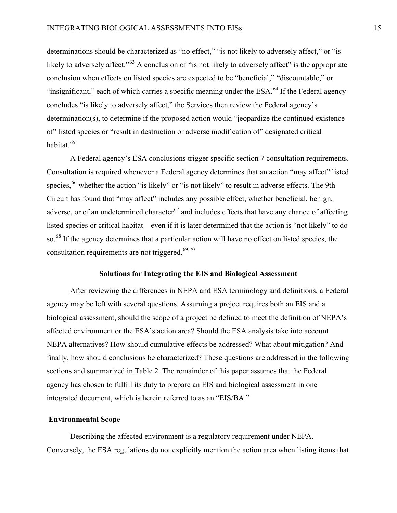determinations should be characterized as "no effect," "is not likely to adversely affect," or "is likely to adversely affect."<sup>[63](#page-26-9)</sup> A conclusion of "is not likely to adversely affect" is the appropriate conclusion when effects on listed species are expected to be "beneficial," "discountable," or "insignificant," each of which carries a specific meaning under the  $ESA<sup>64</sup>$  $ESA<sup>64</sup>$  $ESA<sup>64</sup>$  If the Federal agency concludes "is likely to adversely affect," the Services then review the Federal agency's determination(s), to determine if the proposed action would "jeopardize the continued existence of" listed species or "result in destruction or adverse modification of" designated critical habitat.<sup>[65](#page-26-11)</sup>

A Federal agency's ESA conclusions trigger specific section 7 consultation requirements. Consultation is required whenever a Federal agency determines that an action "may affect" listed species,<sup>[66](#page-26-12)</sup> whether the action "is likely" or "is not likely" to result in adverse effects. The 9th Circuit has found that "may affect" includes any possible effect, whether beneficial, benign, adverse, or of an undetermined character<sup>[67](#page-26-22)</sup> and includes effects that have any chance of affecting listed species or critical habitat—even if it is later determined that the action is "not likely" to do so.<sup>[68](#page-26-23)</sup> If the agency determines that a particular action will have no effect on listed species, the consultation requirements are not triggered.<sup>[69](#page-26-24),[70](#page-26-25)</sup>

#### **Solutions for Integrating the EIS and Biological Assessment**

After reviewing the differences in NEPA and ESA terminology and definitions, a Federal agency may be left with several questions. Assuming a project requires both an EIS and a biological assessment, should the scope of a project be defined to meet the definition of NEPA's affected environment or the ESA's action area? Should the ESA analysis take into account NEPA alternatives? How should cumulative effects be addressed? What about mitigation? And finally, how should conclusions be characterized? These questions are addressed in the following sections and summarized in Table 2. The remainder of this paper assumes that the Federal agency has chosen to fulfill its duty to prepare an EIS and biological assessment in one integrated document, which is herein referred to as an "EIS/BA."

## **Environmental Scope**

Describing the affected environment is a regulatory requirement under NEPA. Conversely, the ESA regulations do not explicitly mention the action area when listing items that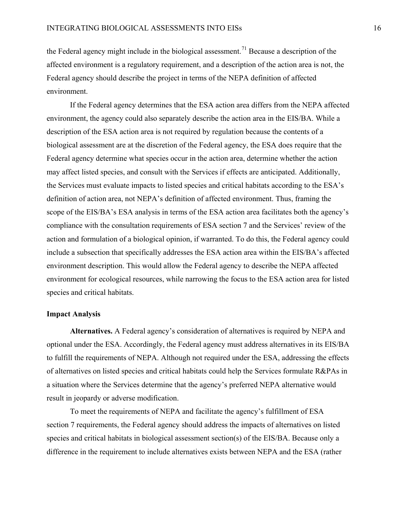the Federal agency might include in the biological assessment.<sup>[71](#page-26-26)</sup> Because a description of the affected environment is a regulatory requirement, and a description of the action area is not, the Federal agency should describe the project in terms of the NEPA definition of affected environment.

If the Federal agency determines that the ESA action area differs from the NEPA affected environment, the agency could also separately describe the action area in the EIS/BA. While a description of the ESA action area is not required by regulation because the contents of a biological assessment are at the discretion of the Federal agency, the ESA does require that the Federal agency determine what species occur in the action area, determine whether the action may affect listed species, and consult with the Services if effects are anticipated. Additionally, the Services must evaluate impacts to listed species and critical habitats according to the ESA's definition of action area, not NEPA's definition of affected environment. Thus, framing the scope of the EIS/BA's ESA analysis in terms of the ESA action area facilitates both the agency's compliance with the consultation requirements of ESA section 7 and the Services' review of the action and formulation of a biological opinion, if warranted. To do this, the Federal agency could include a subsection that specifically addresses the ESA action area within the EIS/BA's affected environment description. This would allow the Federal agency to describe the NEPA affected environment for ecological resources, while narrowing the focus to the ESA action area for listed species and critical habitats.

#### **Impact Analysis**

**Alternatives.** A Federal agency's consideration of alternatives is required by NEPA and optional under the ESA. Accordingly, the Federal agency must address alternatives in its EIS/BA to fulfill the requirements of NEPA. Although not required under the ESA, addressing the effects of alternatives on listed species and critical habitats could help the Services formulate R&PAs in a situation where the Services determine that the agency's preferred NEPA alternative would result in jeopardy or adverse modification.

To meet the requirements of NEPA and facilitate the agency's fulfillment of ESA section 7 requirements, the Federal agency should address the impacts of alternatives on listed species and critical habitats in biological assessment section(s) of the EIS/BA. Because only a difference in the requirement to include alternatives exists between NEPA and the ESA (rather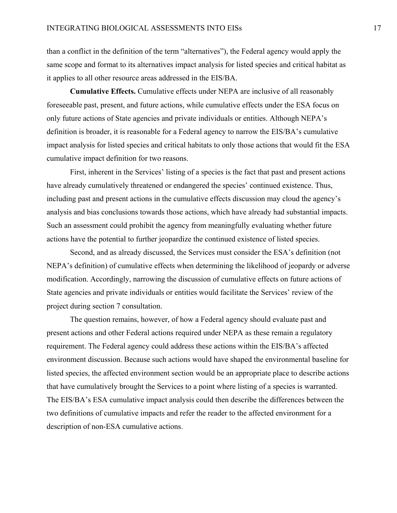than a conflict in the definition of the term "alternatives"), the Federal agency would apply the same scope and format to its alternatives impact analysis for listed species and critical habitat as it applies to all other resource areas addressed in the EIS/BA.

**Cumulative Effects.** Cumulative effects under NEPA are inclusive of all reasonably foreseeable past, present, and future actions, while cumulative effects under the ESA focus on only future actions of State agencies and private individuals or entities. Although NEPA's definition is broader, it is reasonable for a Federal agency to narrow the EIS/BA's cumulative impact analysis for listed species and critical habitats to only those actions that would fit the ESA cumulative impact definition for two reasons.

First, inherent in the Services' listing of a species is the fact that past and present actions have already cumulatively threatened or endangered the species' continued existence. Thus, including past and present actions in the cumulative effects discussion may cloud the agency's analysis and bias conclusions towards those actions, which have already had substantial impacts. Such an assessment could prohibit the agency from meaningfully evaluating whether future actions have the potential to further jeopardize the continued existence of listed species.

Second, and as already discussed, the Services must consider the ESA's definition (not NEPA's definition) of cumulative effects when determining the likelihood of jeopardy or adverse modification. Accordingly, narrowing the discussion of cumulative effects on future actions of State agencies and private individuals or entities would facilitate the Services' review of the project during section 7 consultation.

The question remains, however, of how a Federal agency should evaluate past and present actions and other Federal actions required under NEPA as these remain a regulatory requirement. The Federal agency could address these actions within the EIS/BA's affected environment discussion. Because such actions would have shaped the environmental baseline for listed species, the affected environment section would be an appropriate place to describe actions that have cumulatively brought the Services to a point where listing of a species is warranted. The EIS/BA's ESA cumulative impact analysis could then describe the differences between the two definitions of cumulative impacts and refer the reader to the affected environment for a description of non-ESA cumulative actions.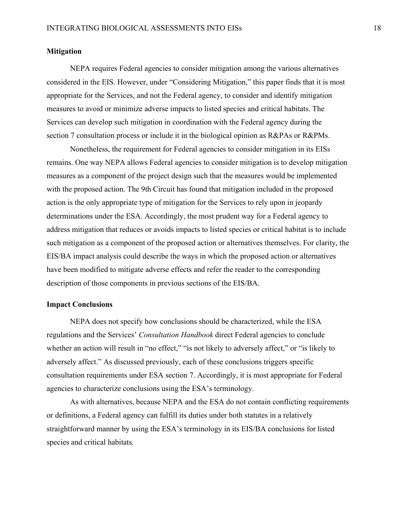## **Mitigation**

NEPA requires Federal agencies to consider mitigation among the various alternatives considered in the EIS. However, under "Considering Mitigation," this paper finds that it is most appropriate for the Services, and not the Federal agency, to consider and identify mitigation measures to avoid or minimize adverse impacts to listed species and critical habitats. The Services can develop such mitigation in coordination with the Federal agency during the section 7 consultation process or include it in the biological opinion as R&PAs or R&PMs.

Nonetheless, the requirement for Federal agencies to consider mitigation in its EISs remains. One way NEPA allows Federal agencies to consider mitigation is to develop mitigation measures as a component of the project design such that the measures would be implemented with the proposed action. The 9th Circuit has found that mitigation included in the proposed action is the only appropriate type of mitigation for the Services to rely upon in jeopardy determinations under the ESA. Accordingly, the most prudent way for a Federal agency to address mitigation that reduces or avoids impacts to listed species or critical habitat is to include such mitigation as a component of the proposed action or alternatives themselves. For clarity, the EIS/BA impact analysis could describe the ways in which the proposed action or alternatives have been modified to mitigate adverse effects and refer the reader to the corresponding description of those components in previous sections of the EIS/BA.

#### **Impact Conclusions**

NEPA does not specify how conclusions should be characterized, while the ESA regulations and the Services' *Consultation Handbook* direct Federal agencies to conclude whether an action will result in "no effect," "is not likely to adversely affect," or "is likely to adversely affect." As discussed previously, each of these conclusions triggers specific consultation requirements under ESA section 7. Accordingly, it is most appropriate for Federal agencies to characterize conclusions using the ESA's terminology.

As with alternatives, because NEPA and the ESA do not contain conflicting requirements or definitions, a Federal agency can fulfill its duties under both statutes in a relatively straightforward manner by using the ESA's terminology in its EIS/BA conclusions for listed species and critical habitats.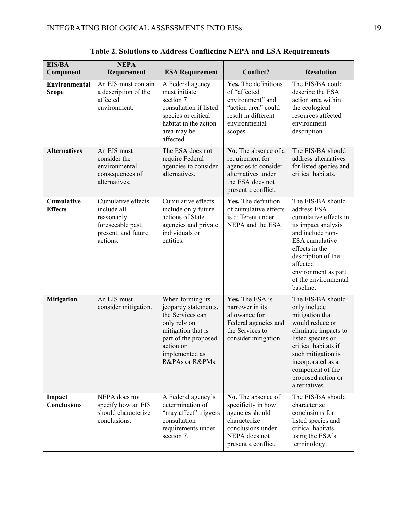| <b>EIS/BA</b><br>Component           | <b>NEPA</b><br>Requirement                                                                              | <b>ESA Requirement</b>                                                                                                                                                       | Conflict?                                                                                                                                | <b>Resolution</b>                                                                                                                                                                                                                                  |
|--------------------------------------|---------------------------------------------------------------------------------------------------------|------------------------------------------------------------------------------------------------------------------------------------------------------------------------------|------------------------------------------------------------------------------------------------------------------------------------------|----------------------------------------------------------------------------------------------------------------------------------------------------------------------------------------------------------------------------------------------------|
| <b>Environmental</b><br><b>Scope</b> | An EIS must contain<br>a description of the<br>affected<br>environment.                                 | A Federal agency<br>must initiate<br>section 7<br>consultation if listed<br>species or critical<br>habitat in the action<br>area may be<br>affected.                         | Yes. The definitions<br>of "affected<br>environment" and<br>"action area" could<br>result in different<br>environmental<br>scopes.       | The EIS/BA could<br>describe the ESA<br>action area within<br>the ecological<br>resources affected<br>environment<br>description.                                                                                                                  |
| <b>Alternatives</b>                  | An EIS must<br>consider the<br>environmental<br>consequences of<br>alternatives.                        | The ESA does not<br>require Federal<br>agencies to consider<br>alternatives.                                                                                                 | No. The absence of a<br>requirement for<br>agencies to consider<br>alternatives under<br>the ESA does not<br>present a conflict.         | The EIS/BA should<br>address alternatives<br>for listed species and<br>critical habitats.                                                                                                                                                          |
| Cumulative<br><b>Effects</b>         | Cumulative effects<br>include all<br>reasonably<br>foreseeable past,<br>present, and future<br>actions. | Cumulative effects<br>include only future<br>actions of State<br>agencies and private<br>individuals or<br>entities.                                                         | Yes. The definition<br>of cumulative effects<br>is different under<br>NEPA and the ESA.                                                  | The EIS/BA should<br>address ESA<br>cumulative effects in<br>its impact analysis<br>and include non-<br>ESA cumulative<br>effects in the<br>description of the<br>affected<br>environment as part<br>of the environmental<br>baseline.             |
| <b>Mitigation</b>                    | An EIS must<br>consider mitigation.                                                                     | When forming its<br>jeopardy statements,<br>the Services can<br>only rely on<br>mitigation that is<br>part of the proposed<br>action or<br>implemented as<br>R&PAs or R&PMs. | Yes. The ESA is<br>narrower in its<br>allowance for<br>Federal agencies and<br>the Services to<br>consider mitigation.                   | The EIS/BA should<br>only include<br>mitigation that<br>would reduce or<br>eliminate impacts to<br>listed species or<br>critical habitats if<br>such mitigation is<br>incorporated as a<br>component of the<br>proposed action or<br>alternatives. |
| Impact<br><b>Conclusions</b>         | NEPA does not<br>specify how an EIS<br>should characterize<br>conclusions.                              | A Federal agency's<br>determination of<br>"may affect" triggers<br>consultation<br>requirements under<br>section 7.                                                          | No. The absence of<br>specificity in how<br>agencies should<br>characterize<br>conclusions under<br>NEPA does not<br>present a conflict. | The EIS/BA should<br>characterize<br>conclusions for<br>listed species and<br>critical habitats<br>using the ESA's<br>terminology.                                                                                                                 |

**Table 2. Solutions to Address Conflicting NEPA and ESA Requirements**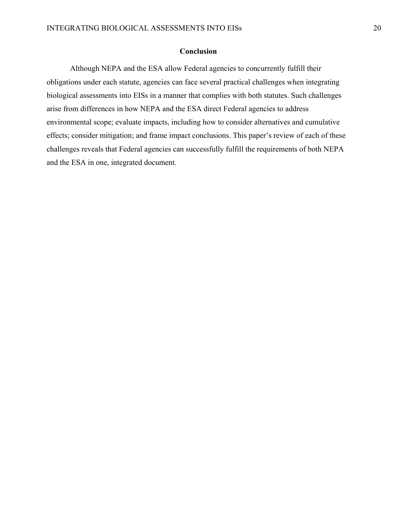# **Conclusion**

Although NEPA and the ESA allow Federal agencies to concurrently fulfill their obligations under each statute, agencies can face several practical challenges when integrating biological assessments into EISs in a manner that complies with both statutes. Such challenges arise from differences in how NEPA and the ESA direct Federal agencies to address environmental scope; evaluate impacts, including how to consider alternatives and cumulative effects; consider mitigation; and frame impact conclusions. This paper's review of each of these challenges reveals that Federal agencies can successfully fulfill the requirements of both NEPA and the ESA in one, integrated document.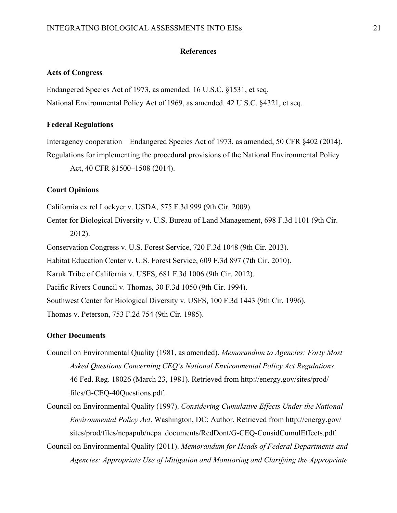## **References**

## **Acts of Congress**

Endangered Species Act of 1973, as amended. 16 U.S.C. §1531, et seq. National Environmental Policy Act of 1969, as amended. 42 U.S.C. §4321, et seq.

## **Federal Regulations**

Interagency cooperation—Endangered Species Act of 1973, as amended, 50 CFR §402 (2014). Regulations for implementing the procedural provisions of the National Environmental Policy Act, 40 CFR §1500–1508 (2014).

# **Court Opinions**

California ex rel Lockyer v. USDA, 575 F.3d 999 (9th Cir. 2009).

Center for Biological Diversity v. U.S. Bureau of Land Management, 698 F.3d 1101 (9th Cir. 2012).

Conservation Congress v. U.S. Forest Service, 720 F.3d 1048 (9th Cir. 2013).

Habitat Education Center v. U.S. Forest Service, 609 F.3d 897 (7th Cir. 2010).

Karuk Tribe of California v. USFS, 681 F.3d 1006 (9th Cir. 2012).

Pacific Rivers Council v. Thomas, 30 F.3d 1050 (9th Cir. 1994).

Southwest Center for Biological Diversity v. USFS, 100 F.3d 1443 (9th Cir. 1996).

Thomas v. Peterson, 753 F.2d 754 (9th Cir. 1985).

#### **Other Documents**

- Council on Environmental Quality (1981, as amended). *Memorandum to Agencies: Forty Most Asked Questions Concerning CEQ's National Environmental Policy Act Regulations*. 46 Fed. Reg. 18026 (March 23, 1981). Retrieved from http://energy.gov/sites/prod/ files/G-CEQ-40Questions.pdf.
- Council on Environmental Quality (1997). *Considering Cumulative Effects Under the National Environmental Policy Act*. Washington, DC: Author. Retrieved from http://energy.gov/ sites/prod/files/nepapub/nepa\_documents/RedDont/G-CEQ-ConsidCumulEffects.pdf.

Council on Environmental Quality (2011). *Memorandum for Heads of Federal Departments and Agencies: Appropriate Use of Mitigation and Monitoring and Clarifying the Appropriate*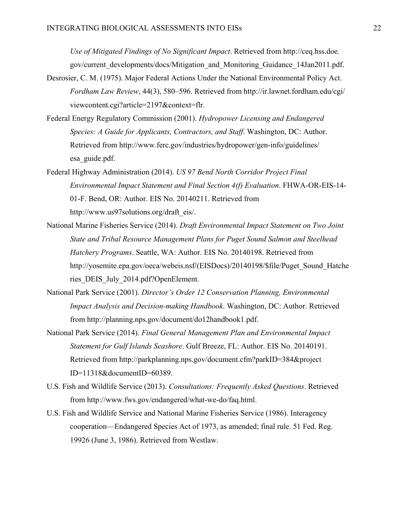*Use of Mitigated Findings of No Significant Impact*. Retrieved from http://ceq.hss.doe. gov/current\_developments/docs/Mitigation\_and\_Monitoring\_Guidance\_14Jan2011.pdf.

- Desrosier, C. M. (1975). Major Federal Actions Under the National Environmental Policy Act. *Fordham Law Review*, 44(3), 580–596. Retrieved from http://ir.lawnet.fordham.edu/cgi/ viewcontent.cgi?article=2197&context=flr.
- Federal Energy Regulatory Commission (2001). *Hydropower Licensing and Endangered Species: A Guide for Applicants, Contractors, and Staff*. Washington, DC: Author. Retrieved from http://www.ferc.gov/industries/hydropower/gen-info/guidelines/ esa\_guide.pdf.
- Federal Highway Administration (2014). *US 97 Bend North Corridor Project Final Environmental Impact Statement and Final Section 4(f) Evaluation*. FHWA-OR-EIS-14- 01-F. Bend, OR: Author. EIS No. 20140211. Retrieved from http://www.us97solutions.org/draft\_eis/.
- National Marine Fisheries Service (2014). *Draft Environmental Impact Statement on Two Joint State and Tribal Resource Management Plans for Puget Sound Salmon and Steelhead Hatchery Programs*. Seattle, WA: Author. EIS No. 20140198. Retrieved from http://yosemite.epa.gov/oeca/webeis.nsf/(EISDocs)/20140198/\$file/Puget\_Sound\_Hatche ries\_DEIS\_July\_2014.pdf?OpenElement.
- National Park Service (2001). *Director's Order 12 Conservation Planning, Environmental Impact Analysis and Decision-making Handbook*. Washington, DC: Author. Retrieved from http://planning.nps.gov/document/do12handbook1.pdf.
- National Park Service (2014). *Final General Management Plan and Environmental Impact Statement for Gulf Islands Seashore*. Gulf Breeze, FL: Author. EIS No. 20140191. Retrieved from http://parkplanning.nps.gov/document.cfm?parkID=384&project ID=11318&documentID=60389.
- U.S. Fish and Wildlife Service (2013). *Consultations: Frequently Asked Questions*. Retrieved from http://www.fws.gov/endangered/what-we-do/faq.html.
- U.S. Fish and Wildlife Service and National Marine Fisheries Service (1986). Interagency cooperation—Endangered Species Act of 1973, as amended; final rule. 51 Fed. Reg. 19926 (June 3, 1986). Retrieved from Westlaw.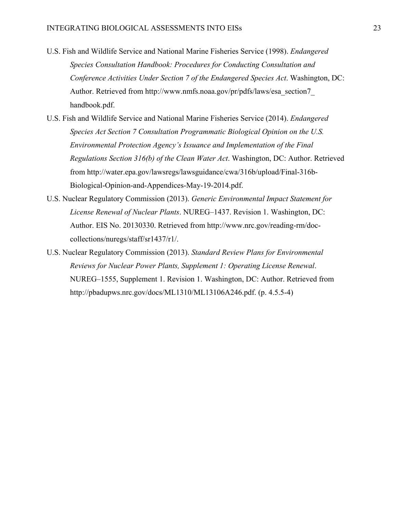- U.S. Fish and Wildlife Service and National Marine Fisheries Service (1998). *Endangered Species Consultation Handbook: Procedures for Conducting Consultation and Conference Activities Under Section 7 of the Endangered Species Act*. Washington, DC: Author. Retrieved from http://www.nmfs.noaa.gov/pr/pdfs/laws/esa\_section7\_ handbook.pdf.
- U.S. Fish and Wildlife Service and National Marine Fisheries Service (2014). *Endangered Species Act Section 7 Consultation Programmatic Biological Opinion on the U.S. Environmental Protection Agency's Issuance and Implementation of the Final Regulations Section 316(b) of the Clean Water Act*. Washington, DC: Author. Retrieved from http://water.epa.gov/lawsregs/lawsguidance/cwa/316b/upload/Final-316b-Biological-Opinion-and-Appendices-May-19-2014.pdf.
- U.S. Nuclear Regulatory Commission (2013). *Generic Environmental Impact Statement for License Renewal of Nuclear Plants*. NUREG–1437. Revision 1. Washington, DC: Author. EIS No. 20130330. Retrieved from http://www.nrc.gov/reading-rm/doccollections/nuregs/staff/sr1437/r1/.
- U.S. Nuclear Regulatory Commission (2013). *Standard Review Plans for Environmental Reviews for Nuclear Power Plants, Supplement 1: Operating License Renewal*. NUREG–1555, Supplement 1. Revision 1. Washington, DC: Author. Retrieved from http://pbadupws.nrc.gov/docs/ML1310/ML13106A246.pdf. (p. 4.5.5-4)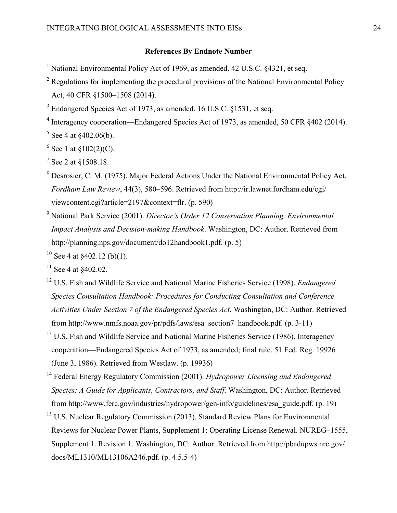# **References By Endnote Number**

- <span id="page-23-0"></span><sup>1</sup> National Environmental Policy Act of 1969, as amended, 42 U.S.C.  $84321$ , et seq.
- <span id="page-23-1"></span> $2$  Regulations for implementing the procedural provisions of the National Environmental Policy Act, 40 CFR §1500–1508 (2014).
- <span id="page-23-2"></span><sup>3</sup> Endangered Species Act of 1973, as amended. 16 U.S.C. §1531, et seq.
- <span id="page-23-3"></span><sup>4</sup> Interagency cooperation—Endangered Species Act of 1973, as amended, 50 CFR §402 (2014).
- <span id="page-23-4"></span> $5$  See [4](#page-2-0) at §402.06(b).
- $6$  See [1](#page-2-1) at §102(2)(C).
- $^7$  See [2](#page-2-2) at  $$1508.18$ .
- <sup>8</sup> Desrosier, C. M. (1975). Major Federal Actions Under the National Environmental Policy Act. *Fordham Law Review*, 44(3), 580–596. Retrieved from http://ir.lawnet.fordham.edu/cgi/ viewcontent.cgi?article=2197&context=flr. (p. 590)
- <sup>9</sup> National Park Service (2001). *Director's Order 12 Conservation Planning, Environmental Impact Analysis and Decision-making Handbook*. Washington, DC: Author. Retrieved from http://planning.nps.gov/document/do12handbook1.pdf. (p. 5)
- <sup>10</sup> See [4](#page-2-0) at  $\frac{$402.12}{b}(1)$ .
- $11$  See [4](#page-2-0) at  $$402.02$ .
- <sup>12</sup> U.S. Fish and Wildlife Service and National Marine Fisheries Service (1998). *Endangered Species Consultation Handbook: Procedures for Conducting Consultation and Conference Activities Under Section 7 of the Endangered Species Act*. Washington, DC: Author. Retrieved from http://www.nmfs.noaa.gov/pr/pdfs/laws/esa\_section7\_handbook.pdf. (p. 3-11)
- <sup>13</sup> U.S. Fish and Wildlife Service and National Marine Fisheries Service (1986). Interagency cooperation—Endangered Species Act of 1973, as amended; final rule. 51 Fed. Reg. 19926 (June 3, 1986). Retrieved from Westlaw. (p. 19936)
- <sup>14</sup> Federal Energy Regulatory Commission (2001). *Hydropower Licensing and Endangered Species: A Guide for Applicants, Contractors, and Staff*. Washington, DC: Author. Retrieved from http://www.ferc.gov/industries/hydropower/gen-info/guidelines/esa\_guide.pdf. (p. 19)
- <sup>15</sup> U.S. Nuclear Regulatory Commission (2013). Standard Review Plans for Environmental Reviews for Nuclear Power Plants, Supplement 1: Operating License Renewal. NUREG–1555, Supplement 1. Revision 1. Washington, DC: Author. Retrieved from http://pbadupws.nrc.gov/ docs/ML1310/ML13106A246.pdf. (p. 4.5.5-4)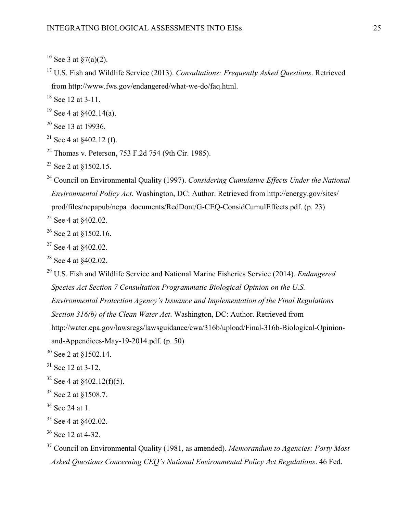<sup>17</sup> U.S. Fish and Wildlife Service (2013). *Consultations: Frequently Asked Questions*. Retrieved from http://www.fws.gov/endangered/what-we-do/faq.html.

 $18$  See [12](#page-4-0) at 3-11.

- <sup>19</sup> See [4](#page-2-0) at  $\frac{$402.14(a)}{a}$ .
- $20$  See [13](#page-4-1) at 19936.
- <sup>21</sup> See [4](#page-2-0) at  $$402.12$  (f).
- <span id="page-24-0"></span><sup>22</sup> Thomas v. Peterson, 753 F.2d 754 (9th Cir. 1985).
- <span id="page-24-1"></span><sup>23</sup> See [2](#page-2-2) at  $$1502.15$ .
- <span id="page-24-2"></span><sup>24</sup> Council on Environmental Quality (1997). *Considering Cumulative Effects Under the National Environmental Policy Act*. Washington, DC: Author. Retrieved from http://energy.gov/sites/ prod/files/nepapub/nepa\_documents/RedDont/G-CEQ-ConsidCumulEffects.pdf. (p. 23)

<span id="page-24-3"></span><sup>25</sup> See [4](#page-2-0) at \$402.02.

- $26$  See [2](#page-2-2) at  $$1502.16$ .
- $27$  See [4](#page-2-0) at  $$402.02$ .
- <span id="page-24-4"></span><sup>28</sup> See [4](#page-2-0) at §402.02.
- <span id="page-24-6"></span><span id="page-24-5"></span><sup>29</sup> U.S. Fish and Wildlife Service and National Marine Fisheries Service (2014). *Endangered Species Act Section 7 Consultation Programmatic Biological Opinion on the U.S. Environmental Protection Agency's Issuance and Implementation of the Final Regulations Section 316(b) of the Clean Water Act*. Washington, DC: Author. Retrieved from http://water.epa.gov/lawsregs/lawsguidance/cwa/316b/upload/Final-316b-Biological-Opinionand-Appendices-May-19-2014.pdf. (p. 50)
- <span id="page-24-7"></span><sup>30</sup> See [2](#page-2-2) at §1502.14.
- $31$  See [12](#page-4-0) at 3-12.
- $32$  See [4](#page-2-0) at  $\frac{$402.12(f)(5)}{2}$ .
- <sup>33</sup> See [2](#page-2-2) at §1508.7.
- <sup>34</sup> See [24](#page-7-0) at 1.
- <sup>35</sup> See [4](#page-2-0) at §402.02.
- $36$  See [12](#page-4-0) at 4-32.
- <sup>37</sup> Council on Environmental Quality (1981, as amended). *Memorandum to Agencies: Forty Most Asked Questions Concerning CEQ's National Environmental Policy Act Regulations*. 46 Fed.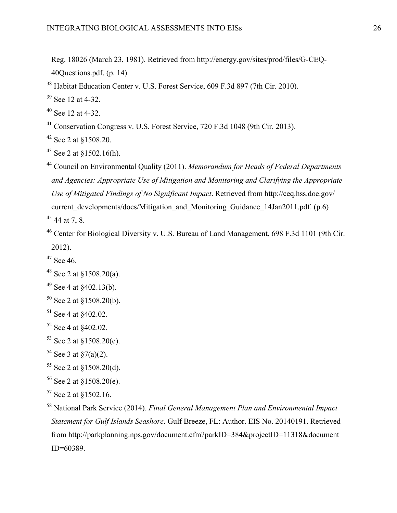<span id="page-25-2"></span>Reg. 18026 (March 23, 1981). Retrieved from http://energy.gov/sites/prod/files/G-CEQ-40Questions.pdf. (p. 14)

Habitat Education Center v. U.S. Forest Service, 609 F.3d 897 (7th Cir. 2010).

See [12](#page-4-0) at 4-32.

See [12](#page-4-0) at 4-32.

Conservation Congress v. U.S. Forest Service, 720 F.3d 1048 (9th Cir. 2013).

See [2](#page-2-2) at §1508.20.

See [2](#page-2-2) at §1502.16(h).

 Council on Environmental Quality (2011). *Memorandum for Heads of Federal Departments and Agencies: Appropriate Use of Mitigation and Monitoring and Clarifying the Appropriate Use of Mitigated Findings of No Significant Impact*. Retrieved from http://ceq.hss.doe.gov/ current developments/docs/Mitigation and Monitoring Guidance 14Jan2011.pdf. (p.6) [44](#page-11-0) at 7, 8.

 Center for Biological Diversity v. U.S. Bureau of Land Management, 698 F.3d 1101 (9th Cir. 2012).

See [46.](#page-11-1)

See [2](#page-2-2) at  $$1508.20(b)$ .

See [2](#page-2-2) at  $$1508.20(d)$ .

```
 2 at $1508.20(e).
```
See [2](#page-2-2) at  $$1502.16$ .

<span id="page-25-1"></span> National Park Service (2014). *Final General Management Plan and Environmental Impact Statement for Gulf Islands Seashore*. Gulf Breeze, FL: Author. EIS No. 20140191. Retrieved from http://parkplanning.nps.gov/document.cfm?parkID=384&projectID=11318&document ID=60389.

See [2](#page-2-2) at §1508.20(a).

See [4](#page-2-0) at  $\frac{$402.13(b)}{b}$ .

See [4](#page-2-0) at  $$402.02$ .

See [4](#page-2-0) at §402.02.

See [2](#page-2-2) at §1508.20(c).

See [3](#page-2-3) at  $\sqrt[5]{(a)(2)}$ .